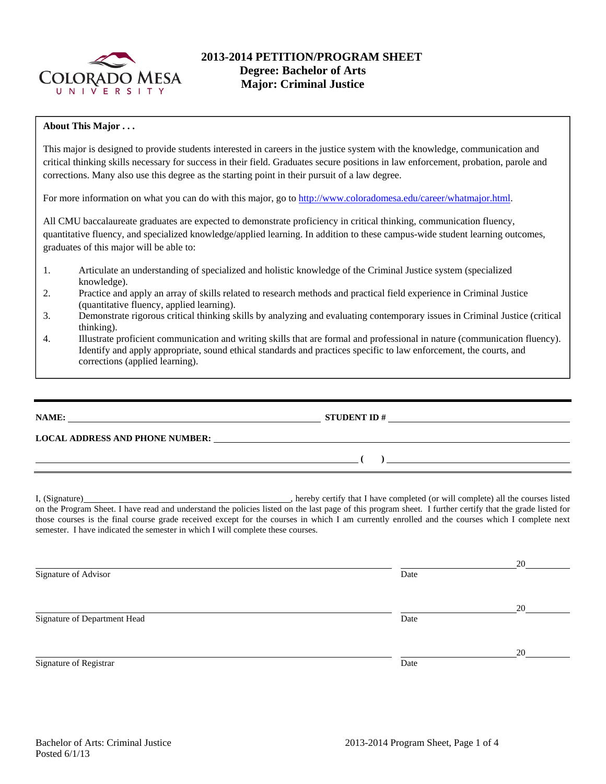

## **2013-2014 PETITION/PROGRAM SHEET Degree: Bachelor of Arts Major: Criminal Justice**

## **About This Major . . .**

This major is designed to provide students interested in careers in the justice system with the knowledge, communication and critical thinking skills necessary for success in their field. Graduates secure positions in law enforcement, probation, parole and corrections. Many also use this degree as the starting point in their pursuit of a law degree.

For more information on what you can do with this major, go to http://www.coloradomesa.edu/career/whatmajor.html.

All CMU baccalaureate graduates are expected to demonstrate proficiency in critical thinking, communication fluency, quantitative fluency, and specialized knowledge/applied learning. In addition to these campus-wide student learning outcomes, graduates of this major will be able to:

- 1. Articulate an understanding of specialized and holistic knowledge of the Criminal Justice system (specialized knowledge).
- 2. Practice and apply an array of skills related to research methods and practical field experience in Criminal Justice (quantitative fluency, applied learning).
- 3. Demonstrate rigorous critical thinking skills by analyzing and evaluating contemporary issues in Criminal Justice (critical thinking).
- 4. Illustrate proficient communication and writing skills that are formal and professional in nature (communication fluency). Identify and apply appropriate, sound ethical standards and practices specific to law enforcement, the courts, and corrections (applied learning).

## **NAME: STUDENT ID #**

**LOCAL ADDRESS AND PHONE NUMBER:**

I, (Signature) **Solution** , hereby certify that I have completed (or will complete) all the courses listed on the Program Sheet. I have read and understand the policies listed on the last page of this program sheet. I further certify that the grade listed for those courses is the final course grade received except for the courses in which I am currently enrolled and the courses which I complete next semester. I have indicated the semester in which I will complete these courses.

|                              |      | 20 |
|------------------------------|------|----|
| Signature of Advisor         | Date |    |
|                              |      | 20 |
| Signature of Department Head | Date |    |
|                              |      | 20 |
| Signature of Registrar       | Date |    |

 **( )**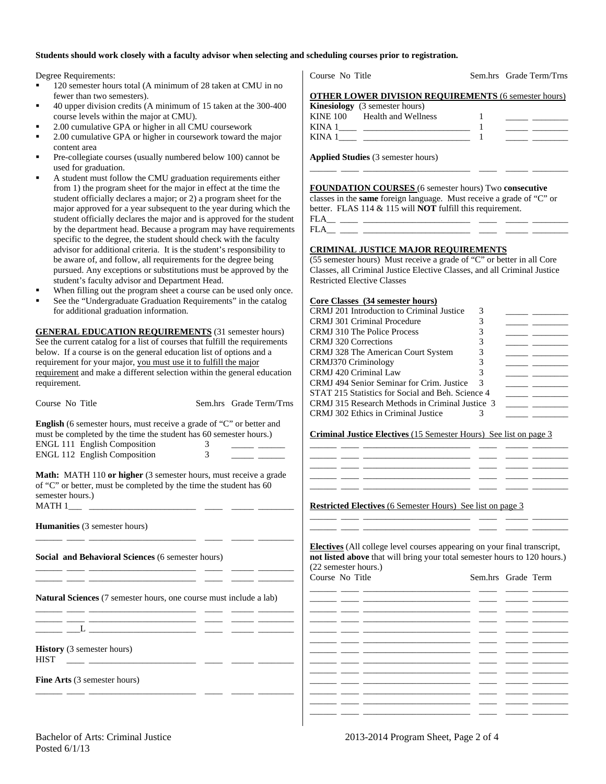#### **Students should work closely with a faculty advisor when selecting and scheduling courses prior to registration.**

Degree Requirements:

- <sup>120</sup> semester hours total (A minimum of 28 taken at CMU in no fewer than two semesters).
- 40 upper division credits (A minimum of 15 taken at the 300-400 course levels within the major at CMU).
- 2.00 cumulative GPA or higher in all CMU coursework
- 2.00 cumulative GPA or higher in coursework toward the major content area
- Pre-collegiate courses (usually numbered below 100) cannot be used for graduation.
- A student must follow the CMU graduation requirements either from 1) the program sheet for the major in effect at the time the student officially declares a major; or 2) a program sheet for the major approved for a year subsequent to the year during which the student officially declares the major and is approved for the student by the department head. Because a program may have requirements specific to the degree, the student should check with the faculty advisor for additional criteria. It is the student's responsibility to be aware of, and follow, all requirements for the degree being pursued. Any exceptions or substitutions must be approved by the student's faculty advisor and Department Head.
- When filling out the program sheet a course can be used only once.
- See the "Undergraduate Graduation Requirements" in the catalog for additional graduation information.

**GENERAL EDUCATION REQUIREMENTS** (31 semester hours) See the current catalog for a list of courses that fulfill the requirements below. If a course is on the general education list of options and a requirement for your major, you must use it to fulfill the major requirement and make a different selection within the general education requirement.

| Course No Title                                                                                                                                                                                                  | Sem.hrs Grade Term/Trns                                                                                                      | CRMJ 315 Research Methods in Criminal Justice 3<br>CRMJ 302 Ethics in Criminal Justice | 3                                                                                                                                                                                                                                    |
|------------------------------------------------------------------------------------------------------------------------------------------------------------------------------------------------------------------|------------------------------------------------------------------------------------------------------------------------------|----------------------------------------------------------------------------------------|--------------------------------------------------------------------------------------------------------------------------------------------------------------------------------------------------------------------------------------|
| English (6 semester hours, must receive a grade of "C" or better and<br>must be completed by the time the student has 60 semester hours.)<br><b>ENGL 111 English Composition</b><br>ENGL 112 English Composition | 3<br>3                                                                                                                       | Criminal Justice Electives (15 Semester Hours) See list on page 3                      |                                                                                                                                                                                                                                      |
| Math: MATH 110 or higher (3 semester hours, must receive a grade<br>of "C" or better, must be completed by the time the student has 60<br>semester hours.)                                                       |                                                                                                                              | <b>Restricted Electives</b> (6 Semester Hours) See list on page 3                      | <u> 1999 - John Barnett, fransk konstantiner (* 1908)</u>                                                                                                                                                                            |
| <b>Humanities</b> (3 semester hours)                                                                                                                                                                             |                                                                                                                              |                                                                                        |                                                                                                                                                                                                                                      |
| Social and Behavioral Sciences (6 semester hours)                                                                                                                                                                | <u> 1999 - Jan James James James James (j. 1908)</u><br><u> 2000 - Andrea Andrews, amerikan amerikan bestecim (h. 1900).</u> | (22 semester hours.)<br>Course No Title                                                | <b>Electives</b> (All college level courses appearing on your final transcript,<br>not listed above that will bring your total semester hours to 120 hours.)<br>Sem.hrs Grade Term                                                   |
| <b>Natural Sciences</b> (7 semester hours, one course must include a lab)                                                                                                                                        |                                                                                                                              |                                                                                        | <u>any participate of the control of the control of the control of the control of the control of the control of the control of the control of the control of the control of the control of the control of the control of the con</u> |
|                                                                                                                                                                                                                  |                                                                                                                              |                                                                                        |                                                                                                                                                                                                                                      |
|                                                                                                                                                                                                                  | <u> 1999 - Johann John Stone, mars et al. (1999)</u>                                                                         |                                                                                        | <u> 1999 - John Amerikaanse kommunister (ja 1900) ja päävän ja 1999 - 1999 - 1999 - 1999 - 1999 - 1999 - 1999 - 1</u>                                                                                                                |
| <b>History</b> (3 semester hours)<br><b>HIST</b>                                                                                                                                                                 | <u> 2000 - Andrea Andrew Maria (a 1950)</u>                                                                                  | <u> 1999 - Jan James James, marshalar (f. 1989)</u>                                    | <u> 2002 - John Schweizer (* 1958)</u><br><u> 1999 - 1999 - 1999 - 1999 - 1999 - 1999 - 1999 - 1999 - 1999 - 1999 - 1999 - 1999 - 1999 - 1999 - 1999 - 199</u>                                                                       |
| Fine Arts (3 semester hours)                                                                                                                                                                                     |                                                                                                                              |                                                                                        |                                                                                                                                                                                                                                      |

**OTHER LOWER DIVISION REQUIREMENTS** (6 semester hours) **Kinesiology** (3 semester hours) KINE 100 Health and Wellness 1 \_\_\_\_\_ \_\_\_\_\_\_\_\_ KINA 1\_\_\_\_ \_\_\_\_\_\_\_\_\_\_\_\_\_\_\_\_\_\_\_\_\_\_\_\_ 1 \_\_\_\_\_ \_\_\_\_\_\_\_\_

Course No Title Sem.hrs Grade Term/Trns

**Applied Studies** (3 semester hours)

KINA 1\_\_\_\_ \_\_\_\_\_\_\_\_\_\_\_\_\_\_\_\_\_\_\_\_\_\_\_\_ 1 \_\_\_\_\_ \_\_\_\_\_\_\_\_

**FOUNDATION COURSES** (6 semester hours) Two **consecutive** classes in the **same** foreign language. Must receive a grade of "C" or better. FLAS 114 & 115 will **NOT** fulfill this requirement. FLA\_\_ \_\_\_\_ \_\_\_\_\_\_\_\_\_\_\_\_\_\_\_\_\_\_\_\_\_\_\_\_ \_\_\_\_ \_\_\_\_\_ \_\_\_\_\_\_\_\_

\_\_\_\_\_\_ \_\_\_\_ \_\_\_\_\_\_\_\_\_\_\_\_\_\_\_\_\_\_\_\_\_\_\_\_ \_\_\_\_ \_\_\_\_\_ \_\_\_\_\_\_\_\_

FLA\_\_ \_\_\_\_ \_\_\_\_\_\_\_\_\_\_\_\_\_\_\_\_\_\_\_\_\_\_\_\_ \_\_\_\_ \_\_\_\_\_ \_\_\_\_\_\_\_\_

#### **CRIMINAL JUSTICE MAJOR REQUIREMENTS**

(55 semester hours) Must receive a grade of "C" or better in all Core Classes, all Criminal Justice Elective Classes, and all Criminal Justice Restricted Elective Classes

#### **Core Classes (34 semester hours)**

| CRMJ 201 Introduction to Criminal Justice         |   |  |
|---------------------------------------------------|---|--|
| <b>CRMJ</b> 301 Criminal Procedure                |   |  |
| <b>CRMJ</b> 310 The Police Process                |   |  |
| CRMJ 320 Corrections                              | 3 |  |
| CRMJ 328 The American Court System                |   |  |
| CRMJ370 Criminology                               |   |  |
| CRMJ 420 Criminal Law                             |   |  |
| CRMJ 494 Senior Seminar for Crim. Justice         | 3 |  |
| STAT 215 Statistics for Social and Beh. Science 4 |   |  |
| CRMJ 315 Research Methods in Criminal Justice 3   |   |  |
| CRMJ 302 Ethics in Criminal Justice               |   |  |

\_\_\_\_\_\_ \_\_\_\_ \_\_\_\_\_\_\_\_\_\_\_\_\_\_\_\_\_\_\_\_\_\_\_\_ \_\_\_\_ \_\_\_\_\_ \_\_\_\_\_\_\_\_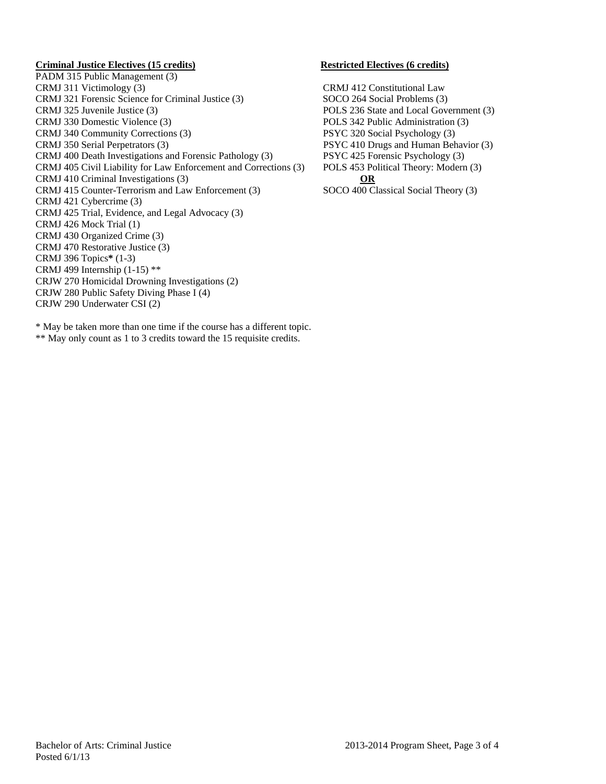### **Criminal Justice Electives (15 credits) Restricted Electives (6 credits)**

PADM 315 Public Management (3) CRMJ 311 Victimology (3) CRMJ 412 Constitutional Law CRMJ 321 Forensic Science for Criminal Justice (3) SOCO 264 Social Problems (3) CRMJ 325 Juvenile Justice (3) POLS 236 State and Local Government (3) CRMJ 330 Domestic Violence (3) POLS 342 Public Administration (3) CRMJ 340 Community Corrections (3) PSYC 320 Social Psychology (3) CRMJ 350 Serial Perpetrators (3) PSYC 410 Drugs and Human Behavior (3) CRMJ 400 Death Investigations and Forensic Pathology (3) PSYC 425 Forensic Psychology (3) CRMJ 405 Civil Liability for Law Enforcement and Corrections (3) POLS 453 Political Theory: Modern (3) CRMJ 410 Criminal Investigations (3) **OR** CRMJ 415 Counter-Terrorism and Law Enforcement (3) SOCO 400 Classical Social Theory (3) CRMJ 421 Cybercrime (3) CRMJ 425 Trial, Evidence, and Legal Advocacy (3) CRMJ 426 Mock Trial (1) CRMJ 430 Organized Crime (3) CRMJ 470 Restorative Justice (3) CRMJ 396 Topics**\*** (1-3) CRMJ 499 Internship (1-15) \*\* CRJW 270 Homicidal Drowning Investigations (2) CRJW 280 Public Safety Diving Phase I (4) CRJW 290 Underwater CSI (2)

\* May be taken more than one time if the course has a different topic. \*\* May only count as 1 to 3 credits toward the 15 requisite credits.